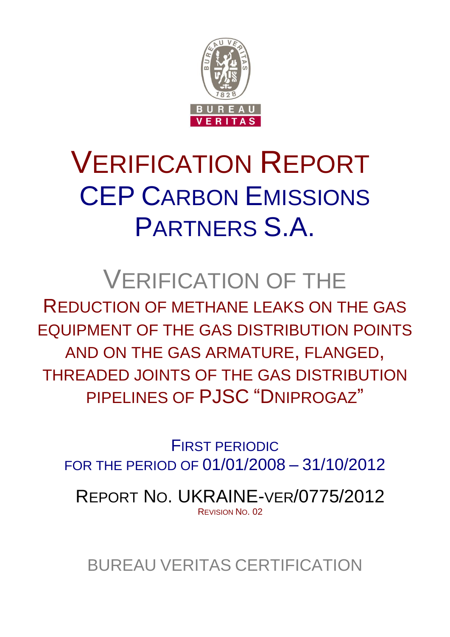

# VERIFICATION REPORT CEP CARBON EMISSIONS PARTNERS S.A.

# VERIFICATION OF THE

REDUCTION OF METHANE LEAKS ON THE GAS EQUIPMENT OF THE GAS DISTRIBUTION POINTS AND ON THE GAS ARMATURE, FLANGED, THREADED JOINTS OF THE GAS DISTRIBUTION PIPELINES OF PJSC "DNIPROGAZ"

FIRST PERIODIC FOR THE PERIOD OF 01/01/2008 – 31/10/2012

REPORT NO. UKRAINE-VER/0775/2012 REVISION NO. 02

BUREAU VERITAS CERTIFICATION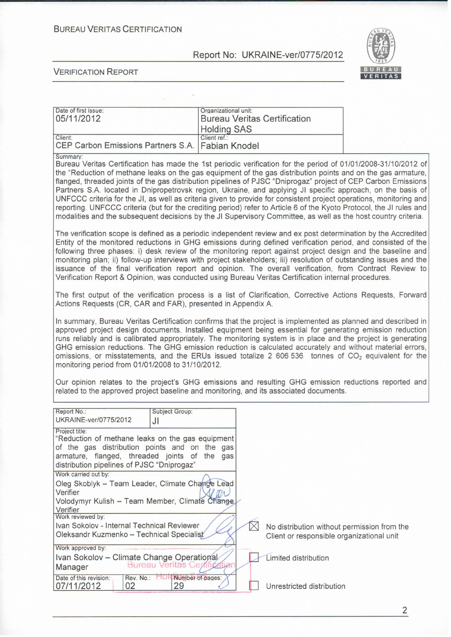**BUREAU VERITAS CERTIFICATION** 

#### Report No: UKRAINE-ver/0775/2012



**VERIFICATION REPORT** 

| Date of first issue:                               | Organizational unit:                                                                         |
|----------------------------------------------------|----------------------------------------------------------------------------------------------|
| 05/11/2012                                         | <b>Bureau Veritas Certification</b>                                                          |
|                                                    | <b>Holding SAS</b>                                                                           |
| Client:                                            | Client ref.:                                                                                 |
| CEP Carbon Emissions Partners S.A.   Fabian Knodel |                                                                                              |
| Summary:                                           |                                                                                              |
|                                                    | Bureau Veritas Certification has made the 1st periodic verification for the period of 01/01/ |
|                                                    | the "Reduction of methane leaks on the ags equipment of the ags distribution points and o    |

2008-31/10/2012 of of methane leaks on the gas equipment of the gas distribution points and on the gas armature, flanged, threaded joints of the gas distribution pipelines of PJSC "Dniprogaz" project of CEP Carbon Emissions Partners S.A. located in Dnipropetrovsk region, Ukraine, and applying JI specific approach, on the basis of UNFCCC criteria for the JI, as well as criteria given to provide for consistent project operations, monitoring and reporting. UNFCCC criteria (but for the crediting period) refer to Article 6 of the Kyoto Protocol, the JI rules and modalities and the subsequent decisions by the JI Supervisory Committee, as well as the host country criteria.

The verification scope is defined as a periodic independent review and ex post determination by the Accredited Entity of the monitored reductions in GHG emissions during defined verification period, and consisted of the following three phases: i) desk review of the monitoring report against project design and the baseline and monitoring plan; ii) follow-up interviews with project stakeholders; iii) resolution of outstanding issues and the issuance of the final verification report and opinion. The overall verification, from Contract Review to Verification Report & Opinion, was conducted using Bureau Veritas Certification internal procedures.

The first output of the verification process is a list of Clarification, Corrective Actions Requests, Forward Actions Requests (CR, CAR and FAR), presented in Appendix A.

In summary, Bureau Veritas Certification confirms that the project is implemented as planned and described in approved project design documents. Installed equipment being essential for generating emission reduction runs reliably and is calibrated appropriately. The monitoring system is in place and the project is generating GHG emission reductions. The GHG emission reduction is calculated accurately and without material errors, omissions, or misstatements, and the ERUs issued totalize 2 606 536 tonnes of  $CO<sub>2</sub>$  equivalent for the monitoring period from 01/01/2008 to 31/10/2012.

Our opinion relates to the project's GHG emissions and resulting GHG emission reductions reported and related to the approved project baseline and monitoring, and its associated documents.

| Report No.:                                                                                                                                                                                                    | Subject Group:            |                                                                                          |
|----------------------------------------------------------------------------------------------------------------------------------------------------------------------------------------------------------------|---------------------------|------------------------------------------------------------------------------------------|
| UKRAINE-ver/0775/2012                                                                                                                                                                                          | JI                        |                                                                                          |
| Project title:<br>"Reduction of methane leaks on the gas equipment<br>of the gas distribution points and on the gas<br>armature, flanged, threaded joints of the<br>distribution pipelines of PJSC "Dniprogaz" | gas                       |                                                                                          |
| Work carried out by:<br>Oleg Skoblyk - Team Leader, Climate Change Lead<br>Verifier                                                                                                                            |                           |                                                                                          |
| Volodymyr Kulish - Team Member, Climate Change<br>Verifier<br>Work reviewed by:                                                                                                                                |                           |                                                                                          |
| Ivan Sokolov - Internal Technical Reviewer<br>Oleksandr Kuzmenko - Technical Specialist                                                                                                                        |                           | No distribution without permission from the<br>Client or responsible organizational unit |
| Work approved by:<br>Ivan Sokolov - Climate Change Operational<br>Manager                                                                                                                                      | <b>Bureau Veritas Cet</b> | Limited distribution                                                                     |
| Date of this revision:<br>Rev. No.:<br>02<br>07/11/2012                                                                                                                                                        | Number of pages:<br>29    | Unrestricted distribution                                                                |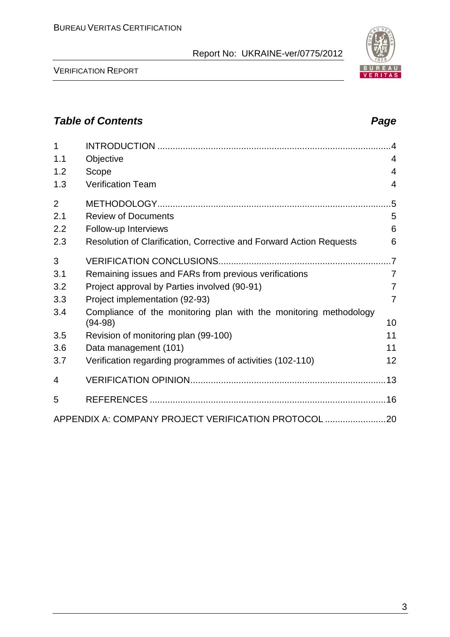VERIFICATION REPORT

# *Table of Contents Page*

| ٦<br>×<br>۰, |
|--------------|
|              |

| 1              |                                                                                | $\overline{A}$ |
|----------------|--------------------------------------------------------------------------------|----------------|
| 1.1            | Objective                                                                      | $\overline{4}$ |
| 1.2            | Scope                                                                          | $\overline{4}$ |
| 1.3            | <b>Verification Team</b>                                                       | $\overline{4}$ |
| $\overline{2}$ |                                                                                |                |
| 2.1            | <b>Review of Documents</b>                                                     | 5              |
| 2.2            | Follow-up Interviews                                                           | 6              |
| 2.3            | Resolution of Clarification, Corrective and Forward Action Requests            | 6              |
| 3              |                                                                                | $\overline{7}$ |
| 3.1            | Remaining issues and FARs from previous verifications                          | $\overline{7}$ |
| 3.2            | Project approval by Parties involved (90-91)                                   | $\overline{7}$ |
| 3.3            | Project implementation (92-93)                                                 | $\overline{7}$ |
| 3.4            | Compliance of the monitoring plan with the monitoring methodology<br>$(94-98)$ | 10             |
| 3.5            |                                                                                | 11             |
| 3.6            | Revision of monitoring plan (99-100)<br>Data management (101)                  | 11             |
| 3.7            | Verification regarding programmes of activities (102-110)                      | 12             |
|                |                                                                                |                |
| 4              |                                                                                |                |
| 5              |                                                                                |                |
|                | APPENDIX A: COMPANY PROJECT VERIFICATION PROTOCOL 20                           |                |

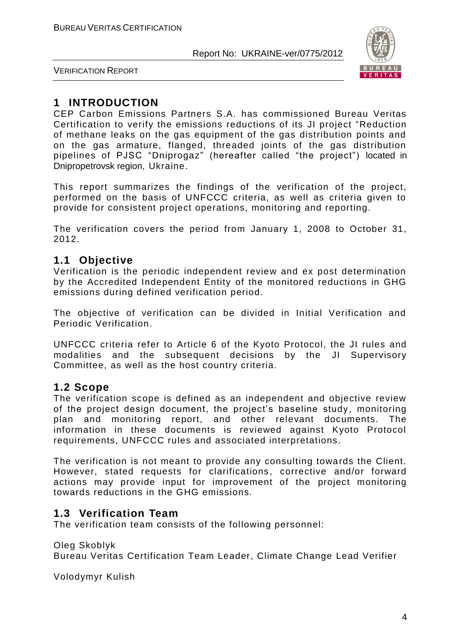

VERIFICATION REPORT

# **1 INTRODUCTION**

CEP Carbon Emissions Partners S.A. has commissioned Bureau Veritas Certification to verify the emissions reductions of its JI project "Reduction of methane leaks on the gas equipment of the gas distribution points and on the gas armature, flanged, threaded joints of the gas distribution pipelines of PJSC "Dniprogaz" (hereafter called "the project") located in Dnipropetrovsk region, Ukraine.

This report summarizes the findings of the verification of the project, performed on the basis of UNFCCC criteria, as well as criteria given to provide for consistent project operations, monitoring and reporting.

The verification covers the period from January 1, 2008 to October 31, 2012.

# **1.1 Objective**

Verification is the periodic independent review and ex post determination by the Accredited Independent Entity of the monitored reductions in GHG emissions during defined verification period.

The objective of verification can be divided in Initial Verification and Periodic Verification.

UNFCCC criteria refer to Article 6 of the Kyoto Protocol, the JI rules and modalities and the subsequent decisions by the JI Supervisory Committee, as well as the host country criteria.

# **1.2 Scope**

The verification scope is defined as an independent and objective review of the project design document, the project's baseline study, monitoring plan and monitoring report, and other relevant documents. The information in these documents is reviewed against Kyoto Protocol requirements, UNFCCC rules and associated interpretations.

The verification is not meant to provide any consulting towards the Client. However, stated requests for clarifications, corrective and/or forward actions may provide input for improvement of the project monitoring towards reductions in the GHG emissions.

# **1.3 Verification Team**

The verification team consists of the following personnel:

Oleg Skoblyk Bureau Veritas Certification Team Leader, Climate Change Lead Verifier

Volodymyr Kulish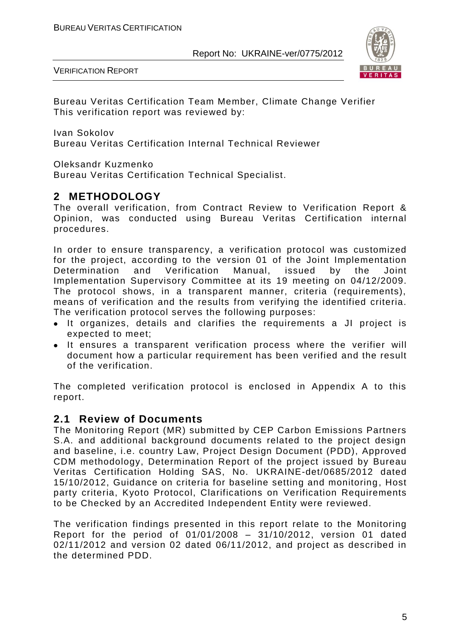

VERIFICATION REPORT

Bureau Veritas Certification Team Member, Climate Change Verifier This verification report was reviewed by:

Ivan Sokolov

Bureau Veritas Certification Internal Technical Reviewer

Oleksandr Kuzmenko

Bureau Veritas Certification Technical Specialist.

# **2 METHODOLOGY**

The overall verification, from Contract Review to Verification Report & Opinion, was conducted using Bureau Veritas Certification internal procedures.

In order to ensure transparency, a verification protocol was customized for the project, according to the version 01 of the Joint Implementation Determination and Verification Manual, issued by the Joint Implementation Supervisory Committee at its 19 meeting on 04/12/2009. The protocol shows, in a transparent manner, criteria (requirements), means of verification and the results from verifying the identified criteria. The verification protocol serves the following purposes:

- It organizes, details and clarifies the requirements a JI project is expected to meet;
- It ensures a transparent verification process where the verifier will document how a particular requirement has been verified and the result of the verification.

The completed verification protocol is enclosed in Appendix A to this report.

# **2.1 Review of Documents**

The Monitoring Report (MR) submitted by CEP Carbon Emissions Partners S.A. and additional background documents related to the project design and baseline, i.e. country Law, Project Design Document (PDD), Approved CDM methodology, Determination Report of the project issued by Bureau Veritas Certification Holding SAS, No. UKRAINE-det/0685/2012 dated 15/10/2012, Guidance on criteria for baseline setting and monitoring, Host party criteria, Kyoto Protocol, Clarifications on Verification Requirements to be Checked by an Accredited Independent Entity were reviewed.

The verification findings presented in this report relate to the Monitoring Report for the period of 01/01/2008 – 31/10/2012, version 01 dated 02/11/2012 and version 02 dated 06/11/2012, and project as described in the determined PDD.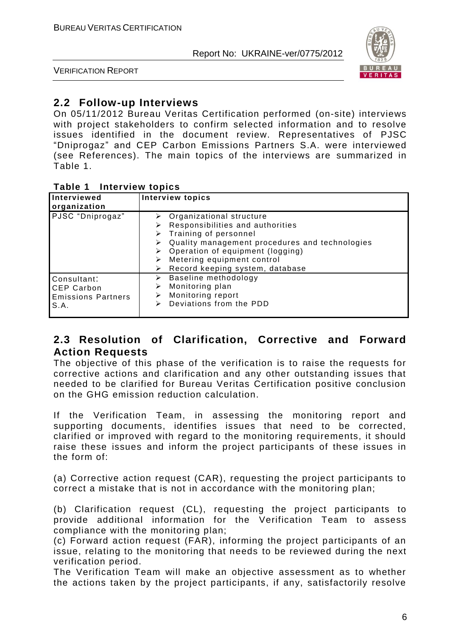

VERIFICATION REPORT

# **2.2 Follow-up Interviews**

On 05/11/2012 Bureau Veritas Certification performed (on-site) interviews with project stakeholders to confirm selected information and to resolve issues identified in the document review. Representatives of PJSC "Dniprogaz" and CEP Carbon Emissions Partners S.A. were interviewed (see References). The main topics of the interviews are summarized in Table 1.

#### **Table 1 Interview topics**

| Interviewed<br>organization                                           | <b>Interview topics</b>                                                                                                                                                                                                                                                                  |
|-----------------------------------------------------------------------|------------------------------------------------------------------------------------------------------------------------------------------------------------------------------------------------------------------------------------------------------------------------------------------|
| PJSC "Dniprogaz"                                                      | $\triangleright$ Organizational structure<br>Responsibilities and authorities<br>$\triangleright$ Training of personnel<br>Quality management procedures and technologies<br>➤<br>Operation of equipment (logging)<br>Metering equipment control<br>Record keeping system, database<br>➤ |
| Consultant:<br><b>CEP Carbon</b><br><b>Emissions Partners</b><br>S.A. | Baseline methodology<br>⋗<br>Monitoring plan<br>⋗<br>Monitoring report<br>⋗<br>Deviations from the PDD<br>⋗                                                                                                                                                                              |

# **2.3 Resolution of Clarification, Corrective and Forward Action Requests**

The objective of this phase of the verification is to raise the requests for corrective actions and clarification and any other outstanding issues that needed to be clarified for Bureau Veritas Certification positive conclusion on the GHG emission reduction calculation.

If the Verification Team, in assessing the monitoring report and supporting documents, identifies issues that need to be corrected, clarified or improved with regard to the monitoring requirements, it should raise these issues and inform the project participants of these issues in the form of:

(a) Corrective action request (CAR), requesting the project participants to correct a mistake that is not in accordance with the monitoring plan;

(b) Clarification request (CL), requesting the project participants to provide additional information for the Verification Team to assess compliance with the monitoring plan;

(c) Forward action request (FAR), informing the project participants of an issue, relating to the monitoring that needs to be reviewed during the next verification period.

The Verification Team will make an objective assessment as to whether the actions taken by the project participants, if any, satisfactorily resolve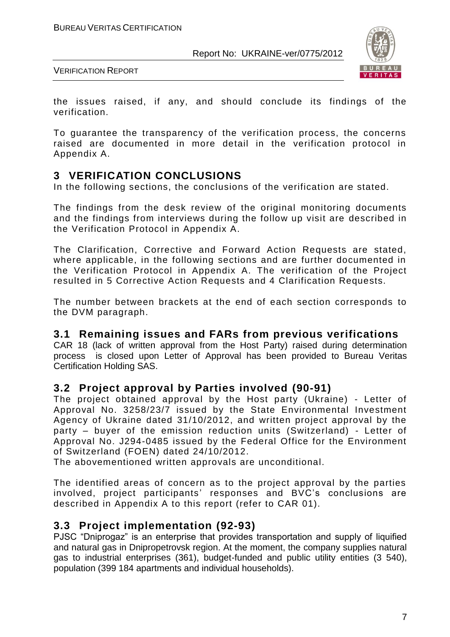

VERIFICATION REPORT

the issues raised, if any, and should conclude its findings of the verification.

To guarantee the transparency of the verification process, the concerns raised are documented in more detail in the verification protocol in Appendix A.

# **3 VERIFICATION CONCLUSIONS**

In the following sections, the conclusions of the verification are stated.

The findings from the desk review of the original monitoring documents and the findings from interviews during the follow up visit are described in the Verification Protocol in Appendix A.

The Clarification, Corrective and Forward Action Requests are stated, where applicable, in the following sections and are further documented in the Verification Protocol in Appendix A. The verification of the Project resulted in 5 Corrective Action Requests and 4 Clarification Requests.

The number between brackets at the end of each section corresponds to the DVM paragraph.

# **3.1 Remaining issues and FARs from previous verifications**

CAR 18 (lack of written approval from the Host Party) raised during determination process is closed upon Letter of Approval has been provided to Bureau Veritas Certification Holding SAS.

# **3.2 Project approval by Parties involved (90-91)**

The project obtained approval by the Host party (Ukraine) - Letter of Approval No. 3258/23/7 issued by the State Environmental Investment Agency of Ukraine dated 31/10/2012, and written project approval by the party – buyer of the emission reduction units (Switzerland) - Letter of Approval No. J294-0485 issued by the Federal Office for the Environment of Switzerland (FOEN) dated 24/10/2012.

The abovementioned written approvals are unconditional.

The identified areas of concern as to the project approval by the parties involved, project participants' responses and BVC's conclusions are described in Appendix A to this report (refer to CAR 01).

# **3.3 Project implementation (92-93)**

PJSC "Dniprogaz" is an enterprise that provides transportation and supply of liquified and natural gas in Dnipropetrovsk region. At the moment, the company supplies natural gas to industrial enterprises (361), budget-funded and public utility entities (3 540), population (399 184 apartments and individual households).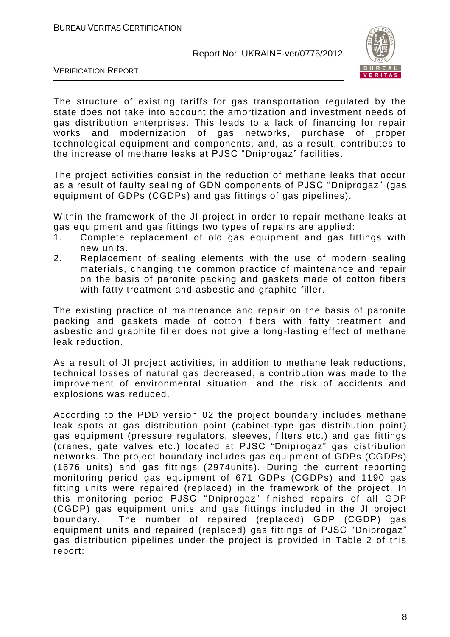

VERIFICATION REPORT

The structure of existing tariffs for gas transportation regulated by the state does not take into account the amortization and investment needs of gas distribution enterprises. This leads to a lack of financing for repair works and modernization of gas networks, purchase of proper technological equipment and components, and, as a result, contributes to the increase of methane leaks at PJSC "Dniprogaz" facilities.

The project activities consist in the reduction of methane leaks that occur as a result of faulty sealing of GDN components of PJSC "Dniprogaz" (gas equipment of GDPs (CGDPs) and gas fittings of gas pipelines).

Within the framework of the JI project in order to repair methane leaks at gas equipment and gas fittings two types of repairs are applied:

- 1. Complete replacement of old gas equipment and gas fittings with new units.
- 2. Replacement of sealing elements with the use of modern sealing materials, changing the common practice of maintenance and repair on the basis of paronite packing and gaskets made of cotton fibers with fatty treatment and asbestic and graphite filler.

The existing practice of maintenance and repair on the basis of paronite packing and gaskets made of cotton fibers with fatty treatment and asbestic and graphite filler does not give a long-lasting effect of methane leak reduction.

As a result of JI project activities, in addition to methane leak reductions, technical losses of natural gas decreased, a contribution was made to the improvement of environmental situation, and the risk of accidents and explosions was reduced.

According to the PDD version 02 the project boundary includes methane leak spots at gas distribution point (cabinet-type gas distribution point) gas equipment (pressure regulators, sleeves, filters etc.) and gas fittings (cranes, gate valves etc.) located at PJSC "Dniprogaz" gas distribution networks. The project boundary includes gas equipment of GDPs (CGDPs) (1676 units) and gas fittings (2974units). During the current reporting monitoring period gas equipment of 671 GDPs (CGDPs) and 1190 gas fitting units were repaired (replaced) in the framework of the project. In this monitoring period PJSC "Dniprogaz" finished repairs of all GDP (CGDP) gas equipment units and gas fittings included in the JI project boundary. The number of repaired (replaced) GDP (CGDP) gas equipment units and repaired (replaced) gas fittings of PJSC "Dniprogaz" gas distribution pipelines under the project is provided in Table 2 of this report: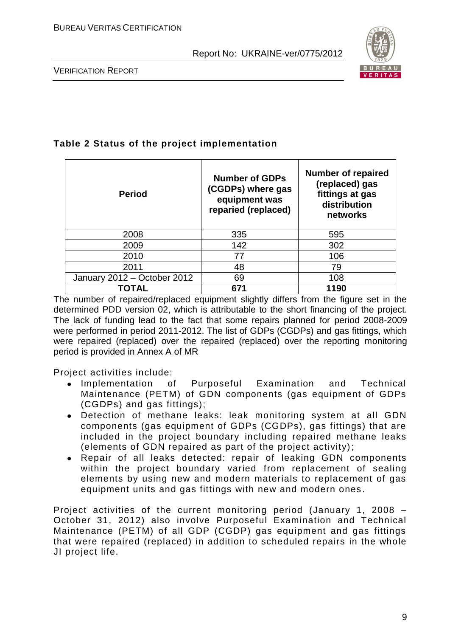

VERIFICATION REPORT

# **Table 2 Status of the project implementation**

| <b>Period</b>               | <b>Number of GDPs</b><br>(CGDPs) where gas<br>equipment was<br>reparied (replaced) | <b>Number of repaired</b><br>(replaced) gas<br>fittings at gas<br>distribution<br>networks |
|-----------------------------|------------------------------------------------------------------------------------|--------------------------------------------------------------------------------------------|
| 2008                        | 335                                                                                | 595                                                                                        |
| 2009                        | 142                                                                                | 302                                                                                        |
| 2010                        | 77                                                                                 | 106                                                                                        |
| 2011                        | 48                                                                                 | 79                                                                                         |
| January 2012 - October 2012 | 69                                                                                 | 108                                                                                        |
| TOTAL                       | 671                                                                                | 1190                                                                                       |

The number of repaired/replaced equipment slightly differs from the figure set in the determined PDD version 02, which is attributable to the short financing of the project. The lack of funding lead to the fact that some repairs planned for period 2008-2009 were performed in period 2011-2012. The list of GDPs (CGDPs) and gas fittings, which were repaired (replaced) over the repaired (replaced) over the reporting monitoring period is provided in Annex A of MR

Project activities include:

- Implementation of Purposeful Examination and Technical Maintenance (PETM) of GDN components (gas equipment of GDPs (CGDPs) and gas fittings);
- Detection of methane leaks: leak monitoring system at all GDN components (gas equipment of GDPs (CGDPs), gas fittings) that are included in the project boundary including repaired methane leaks (elements of GDN repaired as part of the project activity);
- Repair of all leaks detected: repair of leaking GDN components within the project boundary varied from replacement of sealing elements by using new and modern materials to replacement of gas equipment units and gas fittings with new and modern ones .

Project activities of the current monitoring period (January 1, 2008 – October 31, 2012) also involve Purposeful Examination and Technical Maintenance (PETM) of all GDP (CGDP) gas equipment and gas fittings that were repaired (replaced) in addition to scheduled repairs in the whole JI project life.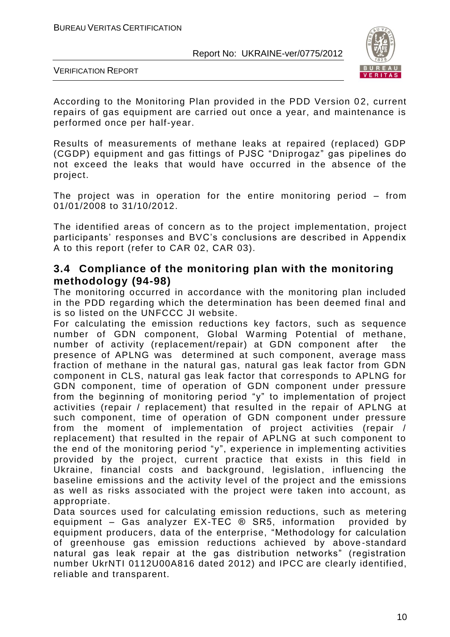

VERIFICATION REPORT

According to the Monitoring Plan provided in the PDD Version 02, current repairs of gas equipment are carried out once a year, and maintenance is performed once per half-year.

Results of measurements of methane leaks at repaired (replaced) GDP (CGDP) equipment and gas fittings of PJSC "Dniprogaz" gas pipelines do not exceed the leaks that would have occurred in the absence of the project.

The project was in operation for the entire monitoring period – from 01/01/2008 to 31/10/2012.

The identified areas of concern as to the project implementation, project participants' responses and BVC's conclusions are described in Appendix A to this report (refer to CAR 02, CAR 03).

# **3.4 Compliance of the monitoring plan with the monitoring methodology (94-98)**

The monitoring occurred in accordance with the monitoring plan included in the PDD regarding which the determination has been deemed final and is so listed on the UNFCCC JI website.

For calculating the emission reductions key factors, such as sequence number of GDN component, Global Warming Potential of methane, number of activity (replacement/repair) at GDN component after the presence of APLNG was determined at such component, average mass fraction of methane in the natural gas, natural gas leak factor from GDN component in CLS, natural gas leak factor that corresponds to APLNG for GDN component, time of operation of GDN component under pressure from the beginning of monitoring period "y" to implementation of project activities (repair / replacement) that resulted in the repair of APLNG at such component, time of operation of GDN component under pressure from the moment of implementation of project activities (repair / replacement) that resulted in the repair of APLNG at such component to the end of the monitoring period "y", experience in implementing activities provided by the project, current practice that exists in this field in Ukraine, financial costs and background, legislation, influencing the baseline emissions and the activity level of the project and the emissions as well as risks associated with the project were taken into account, as appropriate.

Data sources used for calculating emission reductions, such as metering equipment – Gas analyzer EX-TEC ® SR5, information provided by equipment producers, data of the enterprise, "Methodology for calculation of greenhouse gas emission reductions achieved by above -standard natural gas leak repair at the gas distribution networks" (registration number UkrNTI 0112U00A816 dated 2012) and IPCC are clearly identified, reliable and transparent.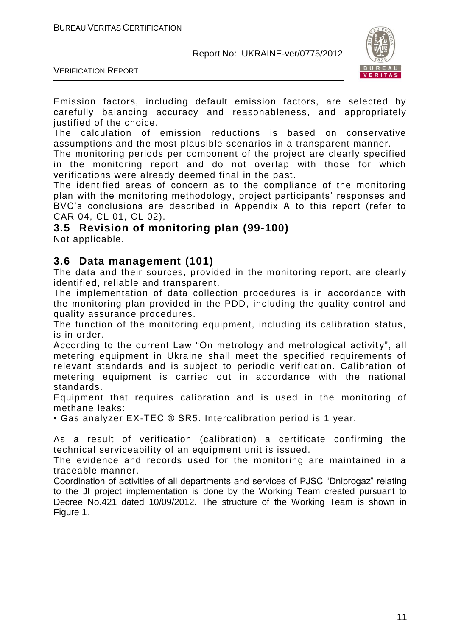

VERIFICATION REPORT

Emission factors, including default emission factors, are selected by carefully balancing accuracy and reasonableness, and appropriately justified of the choice.

The calculation of emission reductions is based on conservative assumptions and the most plausible scenarios in a transparent manner.

The monitoring periods per component of the project are clearly specified in the monitoring report and do not overlap with those for which verifications were already deemed final in the past.

The identified areas of concern as to the compliance of the monitoring plan with the monitoring methodology, project participants' responses and BVC's conclusions are described in Appendix A to this report (refer to CAR 04, CL 01, CL 02).

# **3.5 Revision of monitoring plan (99-100)**

Not applicable.

# **3.6 Data management (101)**

The data and their sources, provided in the monitoring report, are clearly identified, reliable and transparent.

The implementation of data collection procedures is in accordance with the monitoring plan provided in the PDD, including the quality control and quality assurance procedures.

The function of the monitoring equipment, including its calibration status, is in order.

According to the current Law "On metrology and metrological activity", all metering equipment in Ukraine shall meet the specified requirements of relevant standards and is subject to periodic verification. Calibration of metering equipment is carried out in accordance with the national standards.

Equipment that requires calibration and is used in the monitoring of methane leaks:

• Gas analyzer EX-TEC ® SR5. Intercalibration period is 1 year.

As a result of verification (calibration) a certificate confirming the technical serviceability of an equipment unit is issued.

The evidence and records used for the monitoring are maintained in a traceable manner.

Coordination of activities of all departments and services of PJSC "Dniprogaz" relating to the JI project implementation is done by the Working Team created pursuant to Decree No.421 dated 10/09/2012. The structure of the Working Team is shown in Figure 1.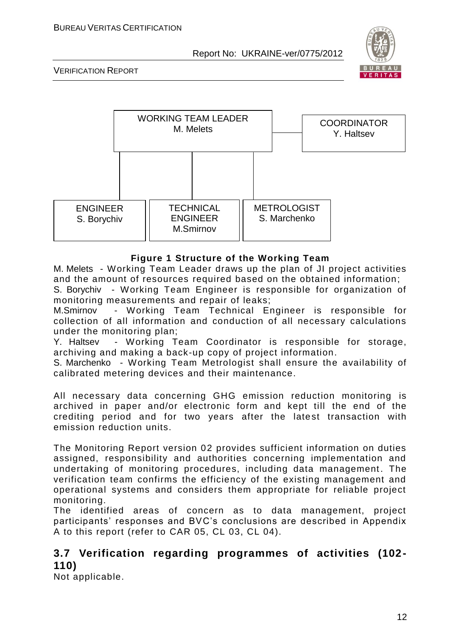

VERIFICATION REPORT



#### **Figure 1 Structure of the Working Team**

M. Melets - Working Team Leader draws up the plan of JI project activities and the amount of resources required based on the obtained information;

S. Borychiv - Working Team Engineer is responsible for organization of monitoring measurements and repair of leaks;

M.Smirnov - Working Team Technical Engineer is responsible for collection of all information and conduction of all necessary calculations under the monitoring plan;

Y. Haltsev - Working Team Coordinator is responsible for storage, archiving and making a back-up copy of project information.

S. Marchenko - Working Team Metrologist shall ensure the availability of calibrated metering devices and their maintenance.

All necessary data concerning GHG emission reduction monitoring is archived in paper and/or electronic form and kept till the end of the crediting period and for two years after the latest transaction with emission reduction units.

The Monitoring Report version 02 provides sufficient information on duties assigned, responsibility and authorities concerning implementation and undertaking of monitoring procedures, including data management. The verification team confirms the efficiency of the existing management and operational systems and considers them appropriate for reliable project monitoring.

The identified areas of concern as to data management, project participants' responses and BVC's conclusions are described in Appendix A to this report (refer to CAR 05, CL 03, CL 04).

# **3.7 Verification regarding programmes of activities (102- 110)**

Not applicable.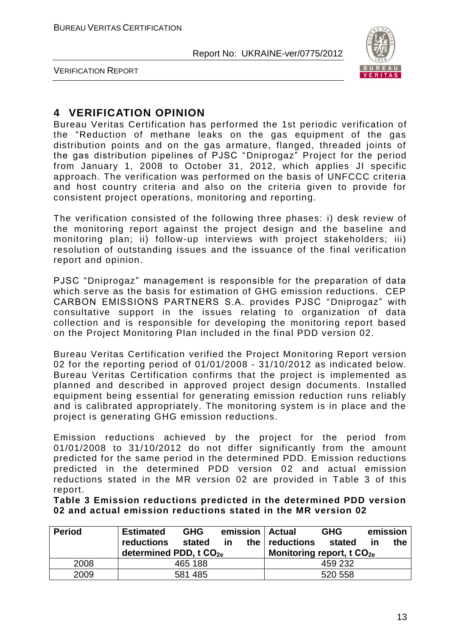

VERIFICATION REPORT

# **4 VERIFICATION OPINION**

Bureau Veritas Certification has performed the 1st periodic verification of the "Reduction of methane leaks on the gas equipment of the gas distribution points and on the gas armature, flanged, threaded joints of the gas distribution pipelines of PJSC "Dniprogaz" Project for the period from January 1, 2008 to October 31, 2012, which applies JI specific approach. The verification was performed on the basis of UNFCCC criteria and host country criteria and also on the criteria given to provide for consistent project operations, monitoring and reporting.

The verification consisted of the following three phases: i) desk review of the monitoring report against the project design and the baseline and monitoring plan; ii) follow-up interviews with project stakeholders; iii) resolution of outstanding issues and the issuance of the final verification report and opinion.

PJSC "Dniprogaz" management is responsible for the preparation of data which serve as the basis for estimation of GHG emission reductions. CEP CARBON EMISSIONS PARTNERS S.A. provides PJSC "Dniprogaz" with consultative support in the issues relating to organization of data collection and is responsible for developing the monitoring report based on the Project Monitoring Plan included in the final PDD version 02.

Bureau Veritas Certification verified the Project Monitoring Report version 02 for the reporting period of 01/01/2008 - 31/10/2012 as indicated below. Bureau Veritas Certification confirms that the project is implemented as planned and described in approved project design documents. Installed equipment being essential for generating emission reduction runs reliably and is calibrated appropriately. The monitoring system is in place and the project is generating GHG emission reductions.

Emission reductions achieved by the project for the period from 01/01/2008 to 31/10/2012 do not differ significantly from the amount predicted for the same period in the determined PDD. Emission reductions predicted in the determined PDD version 02 and actual emission reductions stated in the MR version 02 are provided in Table 3 of this report.

**Table 3 Emission reductions predicted in the determined PDD version 02 and actual emission reductions stated in the MR version 02**

| <b>Period</b> | <b>Estimated</b><br><b>reductions</b> | <b>GHG</b><br>stated | in.     |  | emission   Actual<br>the $ $ reductions | <b>GHG</b><br>stated | <u>in</u> | emission<br>the |
|---------------|---------------------------------------|----------------------|---------|--|-----------------------------------------|----------------------|-----------|-----------------|
|               | determined PDD, t CO <sub>2e</sub>    |                      |         |  | Monitoring report, t $CO2e$             |                      |           |                 |
| 2008          |                                       | 465 188              |         |  |                                         | 459 232              |           |                 |
| 2009          | 581 485                               |                      | 520 558 |  |                                         |                      |           |                 |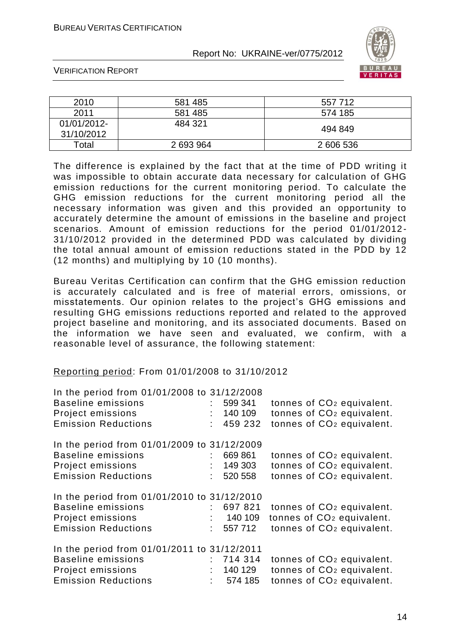

VERIFICATION REPORT

| 2010                      | 581 485   | 557712    |
|---------------------------|-----------|-----------|
| 2011                      | 581 485   | 574 185   |
| 01/01/2012-<br>31/10/2012 | 484 321   | 494 849   |
| Total                     | 2 693 964 | 2 606 536 |

The difference is explained by the fact that at the time of PDD writing it was impossible to obtain accurate data necessary for calculation of GHG emission reductions for the current monitoring period. To calculate the GHG emission reductions for the current monitoring period all the necessary information was given and this provided an opportunity to accurately determine the amount of emissions in the baseline and project scenarios. Amount of emission reductions for the period 01/01/2012- 31/10/2012 provided in the determined PDD was calculated by dividing the total annual amount of emission reductions stated in the PDD by 12 (12 months) and multiplying by 10 (10 months).

Bureau Veritas Certification can confirm that the GHG emission reduction is accurately calculated and is free of material errors, omissions, or misstatements. Our opinion relates to the project's GHG emissions and resulting GHG emissions reductions reported and related to the approved project baseline and monitoring, and its associated documents. Based on the information we have seen and evaluated, we confirm, with a reasonable level of assurance, the following statement:

#### Reporting period: From 01/01/2008 to 31/10/2012

| In the period from 01/01/2008 to 31/12/2008 |      |          |                                       |
|---------------------------------------------|------|----------|---------------------------------------|
| <b>Baseline emissions</b>                   |      | 599 341  | tonnes of CO <sub>2</sub> equivalent. |
| Project emissions                           |      | 140 109  | tonnes of CO <sub>2</sub> equivalent. |
| <b>Emission Reductions</b>                  |      | 459 232  | tonnes of CO <sub>2</sub> equivalent. |
| In the period from 01/01/2009 to 31/12/2009 |      |          |                                       |
| <b>Baseline emissions</b>                   |      | 669 861  | tonnes of CO <sub>2</sub> equivalent. |
| Project emissions                           |      | 149 303  | tonnes of CO <sub>2</sub> equivalent. |
| <b>Emission Reductions</b>                  | t.   | 520 558  | tonnes of CO <sub>2</sub> equivalent. |
| In the period from 01/01/2010 to 31/12/2010 |      |          |                                       |
| <b>Baseline emissions</b>                   |      | 697 821  | tonnes of CO <sub>2</sub> equivalent. |
| Project emissions                           |      | : 140109 | tonnes of CO <sub>2</sub> equivalent. |
| <b>Emission Reductions</b>                  | t.   | 557 712  | tonnes of CO <sub>2</sub> equivalent. |
| In the period from 01/01/2011 to 31/12/2011 |      |          |                                       |
| <b>Baseline emissions</b>                   |      | 714 314  | tonnes of CO <sub>2</sub> equivalent. |
| Project emissions                           |      | 140 129  | tonnes of CO <sub>2</sub> equivalent. |
| <b>Emission Reductions</b>                  | t in | 574 185  | tonnes of CO <sub>2</sub> equivalent. |
|                                             |      |          |                                       |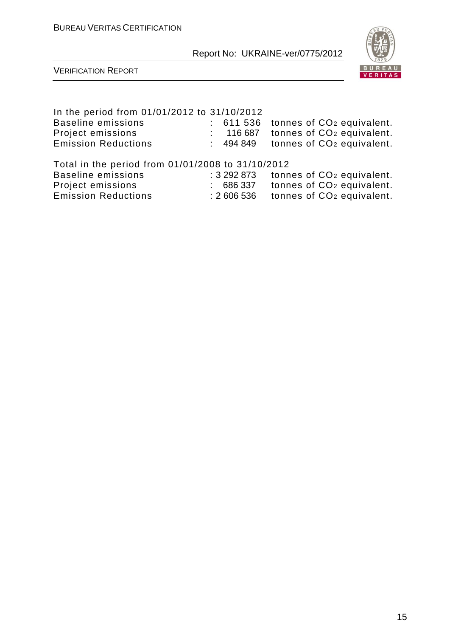

VERIFICATION REPORT

# In the period from 01/01/2012 to 31/10/2012 Baseline emissions : 611 536 tonnes of CO<sub>2</sub> equivalent.<br>Project emissions : 116 687 tonnes of CO<sub>2</sub> equivalent. Project emissions : 116 687 tonnes of CO<sup>2</sup> equivalent. Emission Reductions : 494 849 tonnes of CO<sup>2</sup> equivalent. Total in the period from 01/01/2008 to 31/10/2012  $\approx$  3 292 873 tonnes of CO<sub>2</sub> equivalent. Project emissions : 686 337 tonnes of CO<sup>2</sup> equivalent.

Emission Reductions : 2 606 536 tonnes of CO<sup>2</sup> equivalent.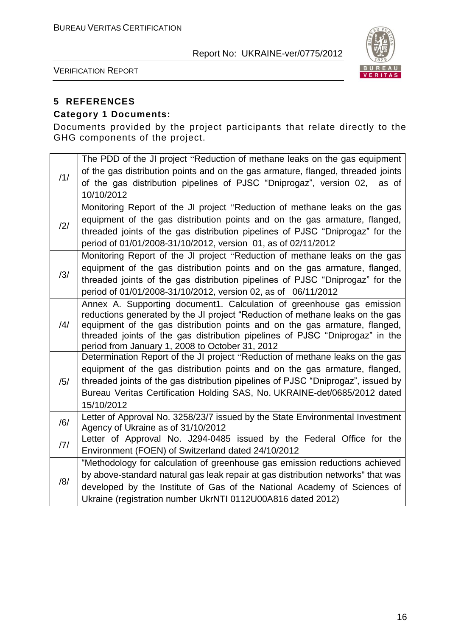

VERIFICATION REPORT

# **5 REFERENCES**

# **Category 1 Documents:**

Documents provided by the project participants that relate directly to the GHG components of the project.

| /1/ | The PDD of the JI project "Reduction of methane leaks on the gas equipment<br>of the gas distribution points and on the gas armature, flanged, threaded joints<br>of the gas distribution pipelines of PJSC "Dniprogaz", version 02, as of<br>10/10/2012                                                                                                                |
|-----|-------------------------------------------------------------------------------------------------------------------------------------------------------------------------------------------------------------------------------------------------------------------------------------------------------------------------------------------------------------------------|
| /2/ | Monitoring Report of the JI project "Reduction of methane leaks on the gas<br>equipment of the gas distribution points and on the gas armature, flanged,<br>threaded joints of the gas distribution pipelines of PJSC "Dniprogaz" for the<br>period of 01/01/2008-31/10/2012, version 01, as of 02/11/2012                                                              |
| /3/ | Monitoring Report of the JI project "Reduction of methane leaks on the gas<br>equipment of the gas distribution points and on the gas armature, flanged,<br>threaded joints of the gas distribution pipelines of PJSC "Dniprogaz" for the<br>period of 01/01/2008-31/10/2012, version 02, as of 06/11/2012                                                              |
| /4/ | Annex A. Supporting document1. Calculation of greenhouse gas emission<br>reductions generated by the JI project "Reduction of methane leaks on the gas<br>equipment of the gas distribution points and on the gas armature, flanged,<br>threaded joints of the gas distribution pipelines of PJSC "Dniprogaz" in the<br>period from January 1, 2008 to October 31, 2012 |
| /5/ | Determination Report of the JI project "Reduction of methane leaks on the gas<br>equipment of the gas distribution points and on the gas armature, flanged,<br>threaded joints of the gas distribution pipelines of PJSC "Dniprogaz", issued by<br>Bureau Veritas Certification Holding SAS, No. UKRAINE-det/0685/2012 dated<br>15/10/2012                              |
| /6/ | Letter of Approval No. 3258/23/7 issued by the State Environmental Investment<br>Agency of Ukraine as of 31/10/2012                                                                                                                                                                                                                                                     |
| 7   | Letter of Approval No. J294-0485 issued by the Federal Office for the<br>Environment (FOEN) of Switzerland dated 24/10/2012                                                                                                                                                                                                                                             |
| /8/ | "Methodology for calculation of greenhouse gas emission reductions achieved<br>by above-standard natural gas leak repair at gas distribution networks" that was<br>developed by the Institute of Gas of the National Academy of Sciences of<br>Ukraine (registration number UkrNTI 0112U00A816 dated 2012)                                                              |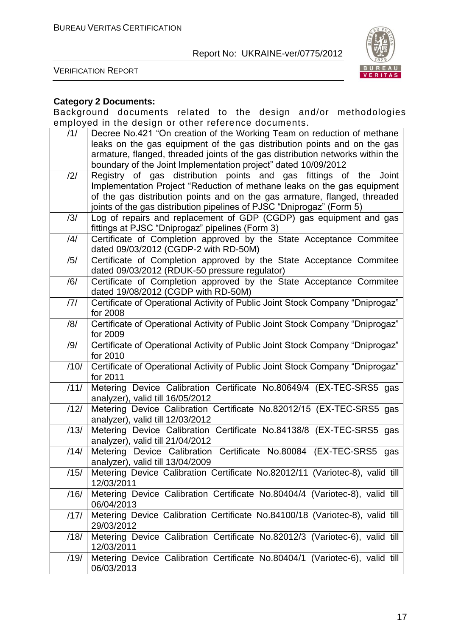

VERIFICATION REPORT

## **Category 2 Documents:**

Background documents related to the design and/or methodologies employed in the design or other reference documents.

| /1/            | Decree No.421 "On creation of the Working Team on reduction of methane         |
|----------------|--------------------------------------------------------------------------------|
|                | leaks on the gas equipment of the gas distribution points and on the gas       |
|                | armature, flanged, threaded joints of the gas distribution networks within the |
|                | boundary of the Joint Implementation project" dated 10/09/2012                 |
| $\frac{12}{1}$ | Registry of gas distribution points and gas fittings of the<br>Joint           |
|                | Implementation Project "Reduction of methane leaks on the gas equipment        |
|                | of the gas distribution points and on the gas armature, flanged, threaded      |
|                | joints of the gas distribution pipelines of PJSC "Dniprogaz" (Form 5)          |
| /3/            | Log of repairs and replacement of GDP (CGDP) gas equipment and gas             |
|                | fittings at PJSC "Dniprogaz" pipelines (Form 3)                                |
| /4/            | Certificate of Completion approved by the State Acceptance Commitee            |
|                | dated 09/03/2012 (CGDP-2 with RD-50M)                                          |
| /5/            | Certificate of Completion approved by the State Acceptance Commitee            |
|                | dated 09/03/2012 (RDUK-50 pressure regulator)                                  |
| /6/            | Certificate of Completion approved by the State Acceptance Commitee            |
|                | dated 19/08/2012 (CGDP with RD-50M)                                            |
| 7              | Certificate of Operational Activity of Public Joint Stock Company "Dniprogaz"  |
|                | for 2008                                                                       |
| /8/            | Certificate of Operational Activity of Public Joint Stock Company "Dniprogaz"  |
|                | for 2009                                                                       |
| /9/            | Certificate of Operational Activity of Public Joint Stock Company "Dniprogaz"  |
|                | for 2010                                                                       |
| /10/           | Certificate of Operational Activity of Public Joint Stock Company "Dniprogaz"  |
|                | for 2011                                                                       |
| /11/           | Metering Device Calibration Certificate No.80649/4 (EX-TEC-SRS5 gas            |
|                | analyzer), valid till 16/05/2012                                               |
| /12/           | Metering Device Calibration Certificate No.82012/15 (EX-TEC-SRS5 gas           |
|                | analyzer), valid till 12/03/2012                                               |
| /13/           | Metering Device Calibration Certificate No.84138/8 (EX-TEC-SRS5 gas            |
|                | analyzer), valid till 21/04/2012                                               |
| /14/           | Certificate No.80084 (EX-TEC-SRS5<br>Metering Device Calibration<br>gas        |
|                | analyzer), valid till 13/04/2009                                               |
| /15/           | Metering Device Calibration Certificate No.82012/11 (Variotec-8), valid till   |
|                | 12/03/2011                                                                     |
| /16/           | Metering Device Calibration Certificate No.80404/4 (Variotec-8), valid till    |
|                | 06/04/2013                                                                     |
| /17/           | Metering Device Calibration Certificate No.84100/18 (Variotec-8), valid till   |
|                | 29/03/2012                                                                     |
| /18/           | Metering Device Calibration Certificate No.82012/3 (Variotec-6), valid till    |
|                | 12/03/2011                                                                     |
| /19/           | Metering Device Calibration Certificate No.80404/1 (Variotec-6), valid till    |
|                | 06/03/2013                                                                     |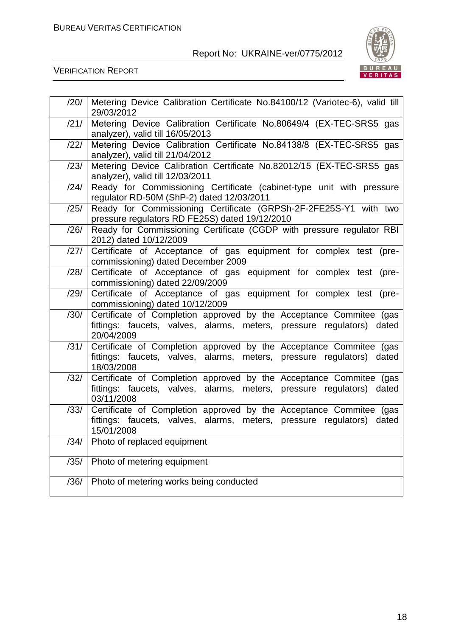

| /20/ | Metering Device Calibration Certificate No.84100/12 (Variotec-6), valid till<br>29/03/2012                                                                   |
|------|--------------------------------------------------------------------------------------------------------------------------------------------------------------|
| /21/ | Metering Device Calibration Certificate No.80649/4 (EX-TEC-SRS5 gas<br>analyzer), valid till 16/05/2013                                                      |
| /22/ | Metering Device Calibration Certificate No.84138/8 (EX-TEC-SRS5 gas<br>analyzer), valid till 21/04/2012                                                      |
| /23/ | Metering Device Calibration Certificate No.82012/15 (EX-TEC-SRS5 gas<br>analyzer), valid till 12/03/2011                                                     |
| /24/ | Ready for Commissioning Certificate (cabinet-type unit with pressure<br>regulator RD-50M (ShP-2) dated 12/03/2011                                            |
| /25/ | Ready for Commissioning Certificate (GRPSh-2F-2FE25S-Y1 with two<br>pressure regulators RD FE25S) dated 19/12/2010                                           |
| /26/ | Ready for Commissioning Certificate (CGDP with pressure regulator RBI<br>2012) dated 10/12/2009                                                              |
| /27/ | Certificate of Acceptance of gas equipment for complex test (pre-<br>commissioning) dated December 2009                                                      |
| /28/ | Certificate of Acceptance of gas equipment for complex test (pre-<br>commissioning) dated 22/09/2009                                                         |
| /29/ | Certificate of Acceptance of gas equipment for complex test (pre-<br>commissioning) dated 10/12/2009                                                         |
| /30/ | Certificate of Completion approved by the Acceptance Commitee (gas<br>fittings: faucets, valves, alarms, meters, pressure regulators) dated<br>20/04/2009    |
| /31/ | Certificate of Completion approved by the Acceptance Commitee (gas<br>fittings: faucets, valves, alarms, meters, pressure regulators) dated<br>18/03/2008    |
| /32/ | Certificate of Completion approved by the Acceptance Commitee (gas<br>fittings: faucets, valves, alarms, meters, pressure regulators) dated<br>03/11/2008    |
| /33/ | Certificate of Completion approved by the Acceptance Commitee (gas<br>fittings: faucets, valves, alarms, meters, pressure regulators)<br>dated<br>15/01/2008 |
| /34/ | Photo of replaced equipment                                                                                                                                  |
| /35/ | Photo of metering equipment                                                                                                                                  |
| /36/ | Photo of metering works being conducted                                                                                                                      |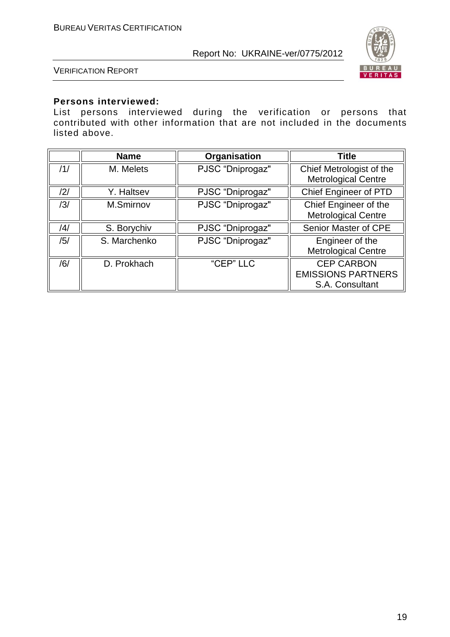

VERIFICATION REPORT

#### **Persons interviewed:**

List persons interviewed during the verification or persons that contributed with other information that are not included in the documents listed above.

|     | <b>Name</b>  | Organisation     | <b>Title</b>                                                      |
|-----|--------------|------------------|-------------------------------------------------------------------|
| /1/ | M. Melets    | PJSC "Dniprogaz" | Chief Metrologist of the<br><b>Metrological Centre</b>            |
| /2/ | Y. Haltsev   | PJSC "Dniprogaz" | <b>Chief Engineer of PTD</b>                                      |
| /3/ | M.Smirnov    | PJSC "Dniprogaz" | Chief Engineer of the<br><b>Metrological Centre</b>               |
| /4/ | S. Borychiv  | PJSC "Dniprogaz" | Senior Master of CPE                                              |
| /5/ | S. Marchenko | PJSC "Dniprogaz" | Engineer of the<br><b>Metrological Centre</b>                     |
| /6/ | D. Prokhach  | "CEP" LLC        | <b>CEP CARBON</b><br><b>EMISSIONS PARTNERS</b><br>S.A. Consultant |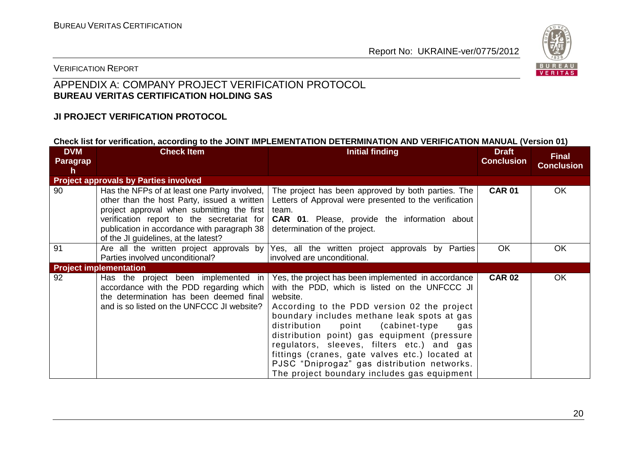

# VERIFICATION REPORT

# APPENDIX A: COMPANY PROJECT VERIFICATION PROTOCOL **BUREAU VERITAS CERTIFICATION HOLDING SAS**

### **JI PROJECT VERIFICATION PROTOCOL**

#### **Check list for verification, according to the JOINT IMPLEMENTATION DETERMINATION AND VERIFICATION MANUAL (Version 01)**

| <b>DVM</b><br>Paragrap<br>h | <b>Check Item</b>                                                                                                                                                                                                                                                              | <b>Initial finding</b>                                                                                                                                                                                                                                                                                                                                                                                                                                                                                         | <b>Draft</b><br><b>Conclusion</b> | <b>Final</b><br><b>Conclusion</b> |
|-----------------------------|--------------------------------------------------------------------------------------------------------------------------------------------------------------------------------------------------------------------------------------------------------------------------------|----------------------------------------------------------------------------------------------------------------------------------------------------------------------------------------------------------------------------------------------------------------------------------------------------------------------------------------------------------------------------------------------------------------------------------------------------------------------------------------------------------------|-----------------------------------|-----------------------------------|
|                             | <b>Project approvals by Parties involved</b>                                                                                                                                                                                                                                   |                                                                                                                                                                                                                                                                                                                                                                                                                                                                                                                |                                   |                                   |
| 90                          | Has the NFPs of at least one Party involved,<br>other than the host Party, issued a written<br>project approval when submitting the first<br>verification report to the secretariat for<br>publication in accordance with paragraph 38<br>of the JI guidelines, at the latest? | The project has been approved by both parties. The<br>Letters of Approval were presented to the verification<br>team.<br><b>CAR 01.</b> Please, provide the information about<br>determination of the project.                                                                                                                                                                                                                                                                                                 | <b>CAR 01</b>                     | OK                                |
| 91                          | Are all the written project approvals by<br>Parties involved unconditional?                                                                                                                                                                                                    | Yes, all the written project approvals by Parties<br>involved are unconditional.                                                                                                                                                                                                                                                                                                                                                                                                                               | <b>OK</b>                         | OK                                |
|                             | <b>Project implementation</b>                                                                                                                                                                                                                                                  |                                                                                                                                                                                                                                                                                                                                                                                                                                                                                                                |                                   |                                   |
| 92                          | Has the project been implemented in<br>accordance with the PDD regarding which<br>the determination has been deemed final<br>and is so listed on the UNFCCC JI website?                                                                                                        | Yes, the project has been implemented in accordance<br>with the PDD, which is listed on the UNFCCC JI<br>website.<br>According to the PDD version 02 the project<br>boundary includes methane leak spots at gas<br>distribution<br>point<br>(cabinet-type)<br>gas<br>distribution point) gas equipment (pressure<br>regulators, sleeves, filters etc.) and gas<br>fittings (cranes, gate valves etc.) located at<br>PJSC "Dniprogaz" gas distribution networks.<br>The project boundary includes gas equipment | <b>CAR 02</b>                     | OK                                |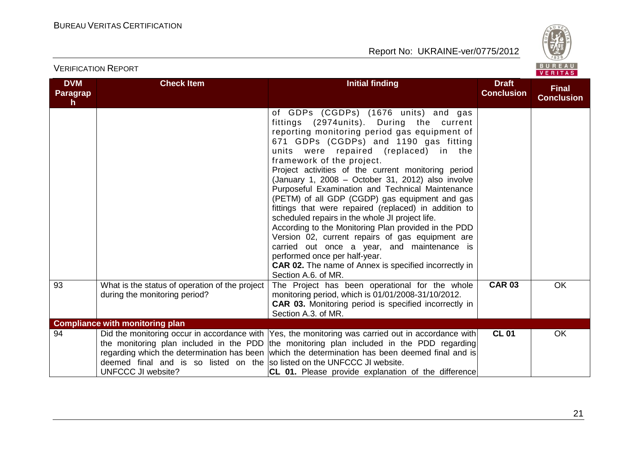

| <b>DVM</b><br>Paragrap<br>h. | <b>Check Item</b>                                                                              | <b>Initial finding</b>                                                                                                                                                                                                                                                                                                                                                                                                                                                                                                                                                                                                                                                                                                                                                                                                                                           | <b>Draft</b><br><b>Conclusion</b> | <b>Final</b><br><b>Conclusion</b> |
|------------------------------|------------------------------------------------------------------------------------------------|------------------------------------------------------------------------------------------------------------------------------------------------------------------------------------------------------------------------------------------------------------------------------------------------------------------------------------------------------------------------------------------------------------------------------------------------------------------------------------------------------------------------------------------------------------------------------------------------------------------------------------------------------------------------------------------------------------------------------------------------------------------------------------------------------------------------------------------------------------------|-----------------------------------|-----------------------------------|
|                              |                                                                                                | of GDPs (CGDPs) (1676 units) and gas<br>fittings (2974units). During the current<br>reporting monitoring period gas equipment of<br>671 GDPs (CGDPs) and 1190 gas fitting<br>units were repaired (replaced) in the<br>framework of the project.<br>Project activities of the current monitoring period<br>(January 1, 2008 - October 31, 2012) also involve<br>Purposeful Examination and Technical Maintenance<br>(PETM) of all GDP (CGDP) gas equipment and gas<br>fittings that were repaired (replaced) in addition to<br>scheduled repairs in the whole JI project life.<br>According to the Monitoring Plan provided in the PDD<br>Version 02, current repairs of gas equipment are<br>carried out once a year, and maintenance is<br>performed once per half-year.<br><b>CAR 02.</b> The name of Annex is specified incorrectly in<br>Section A.6. of MR. |                                   |                                   |
| 93                           | What is the status of operation of the project<br>during the monitoring period?                | The Project has been operational for the whole<br>monitoring period, which is 01/01/2008-31/10/2012.<br><b>CAR 03.</b> Monitoring period is specified incorrectly in<br>Section A.3. of MR.                                                                                                                                                                                                                                                                                                                                                                                                                                                                                                                                                                                                                                                                      | <b>CAR 03</b>                     | OK                                |
|                              | <b>Compliance with monitoring plan</b>                                                         |                                                                                                                                                                                                                                                                                                                                                                                                                                                                                                                                                                                                                                                                                                                                                                                                                                                                  |                                   |                                   |
| 94                           | deemed final and is so listed on the so listed on the UNFCCC JI website.<br>UNFCCC JI website? | Did the monitoring occur in accordance with Yes, the monitoring was carried out in accordance with<br>the monitoring plan included in the PDD the monitoring plan included in the PDD regarding<br>regarding which the determination has been which the determination has been deemed final and is<br><b>CL 01.</b> Please provide explanation of the difference                                                                                                                                                                                                                                                                                                                                                                                                                                                                                                 | <b>CL 01</b>                      | <b>OK</b>                         |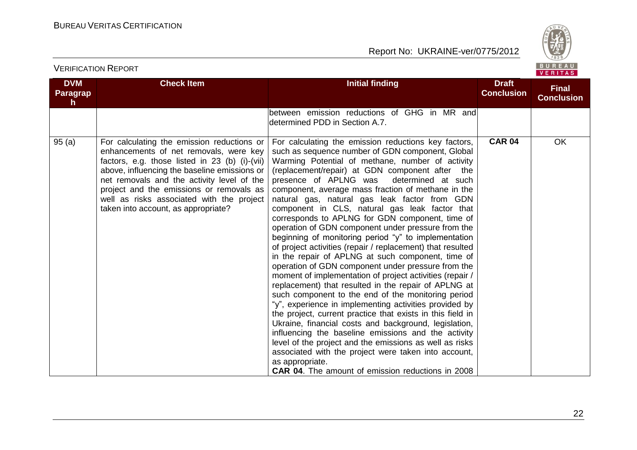

| <b>DVM</b><br><b>Paragrap</b><br>$\mathsf{h}$ | <b>Check Item</b>                                                                                                                                                                                                                                                                                                                                                    | <b>Initial finding</b>                                                                                                                                                                                                                                                                                                                                                                                                                                                                                                                                                                                                                                                                                                                                                                                                                                                                                                                                                                                                                                                                                                                                                                                                                                                                                                                                                                | <b>Draft</b><br><b>Conclusion</b> | <b>Final</b><br><b>Conclusion</b> |
|-----------------------------------------------|----------------------------------------------------------------------------------------------------------------------------------------------------------------------------------------------------------------------------------------------------------------------------------------------------------------------------------------------------------------------|---------------------------------------------------------------------------------------------------------------------------------------------------------------------------------------------------------------------------------------------------------------------------------------------------------------------------------------------------------------------------------------------------------------------------------------------------------------------------------------------------------------------------------------------------------------------------------------------------------------------------------------------------------------------------------------------------------------------------------------------------------------------------------------------------------------------------------------------------------------------------------------------------------------------------------------------------------------------------------------------------------------------------------------------------------------------------------------------------------------------------------------------------------------------------------------------------------------------------------------------------------------------------------------------------------------------------------------------------------------------------------------|-----------------------------------|-----------------------------------|
|                                               |                                                                                                                                                                                                                                                                                                                                                                      | between emission reductions of GHG in MR and<br>determined PDD in Section A.7.                                                                                                                                                                                                                                                                                                                                                                                                                                                                                                                                                                                                                                                                                                                                                                                                                                                                                                                                                                                                                                                                                                                                                                                                                                                                                                        |                                   |                                   |
| 95(a)                                         | For calculating the emission reductions or<br>enhancements of net removals, were key<br>factors, e.g. those listed in 23 (b) (i)-(vii)<br>above, influencing the baseline emissions or<br>net removals and the activity level of the<br>project and the emissions or removals as<br>well as risks associated with the project<br>taken into account, as appropriate? | For calculating the emission reductions key factors,<br>such as sequence number of GDN component, Global<br>Warming Potential of methane, number of activity<br>(replacement/repair) at GDN component after the<br>presence of APLNG was<br>determined at such<br>component, average mass fraction of methane in the<br>natural gas, natural gas leak factor from GDN<br>component in CLS, natural gas leak factor that<br>corresponds to APLNG for GDN component, time of<br>operation of GDN component under pressure from the<br>beginning of monitoring period "y" to implementation<br>of project activities (repair / replacement) that resulted<br>in the repair of APLNG at such component, time of<br>operation of GDN component under pressure from the<br>moment of implementation of project activities (repair /<br>replacement) that resulted in the repair of APLNG at<br>such component to the end of the monitoring period<br>"y", experience in implementing activities provided by<br>the project, current practice that exists in this field in<br>Ukraine, financial costs and background, legislation,<br>influencing the baseline emissions and the activity<br>level of the project and the emissions as well as risks<br>associated with the project were taken into account,<br>as appropriate.<br><b>CAR 04.</b> The amount of emission reductions in 2008 | <b>CAR 04</b>                     | <b>OK</b>                         |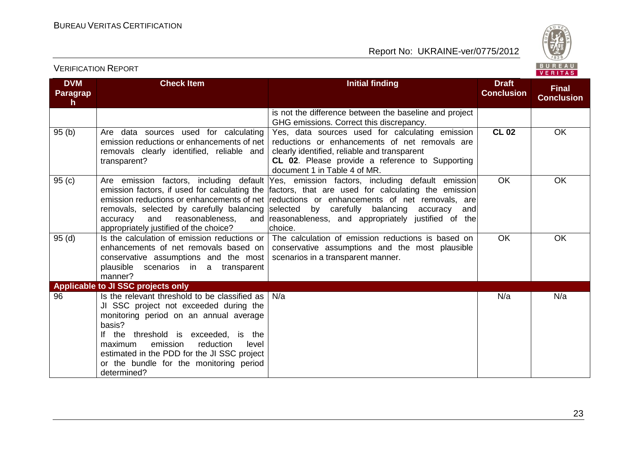

#### **DVM Paragrap h Check Item Initial finding Initial finding Draft Conclusion Final Conclusion** is not the difference between the baseline and project GHG emissions. Correct this discrepancy. 95 (b) Are data sources used for calculating emission reductions or enhancements of net removals clearly identified, reliable and transparent? Yes, data sources used for calculating emission reductions or enhancements of net removals are clearly identified, reliable and transparent **CL 02**. Please provide a reference to Supporting document 1 in Table 4 of MR. **CL 02** OK 95 (c) Are emission factors, including default emission factors, if used for calculating the emission reductions or enhancements of net removals, selected by carefully balancing accuracy and reasonableness, and appropriately justified of the choice? Yes, emission factors, including default emission factors, that are used for calculating the emission reductions or enhancements of net removals, are selected by carefully balancing accuracy and reasonableness, and appropriately justified of the choice. OK OK 95 (d) Is the calculation of emission reductions or enhancements of net removals based on conservative assumptions and the most plausible scenarios in a transparent manner? The calculation of emission reductions is based on conservative assumptions and the most plausible scenarios in a transparent manner. OK OK **Applicable to JI SSC projects only** 96 Is the relevant threshold to be classified as JI SSC project not exceeded during the monitoring period on an annual average basis? If the threshold is exceeded, is the maximum emission reduction level estimated in the PDD for the JI SSC project or the bundle for the monitoring period determined? N/a N/a N/a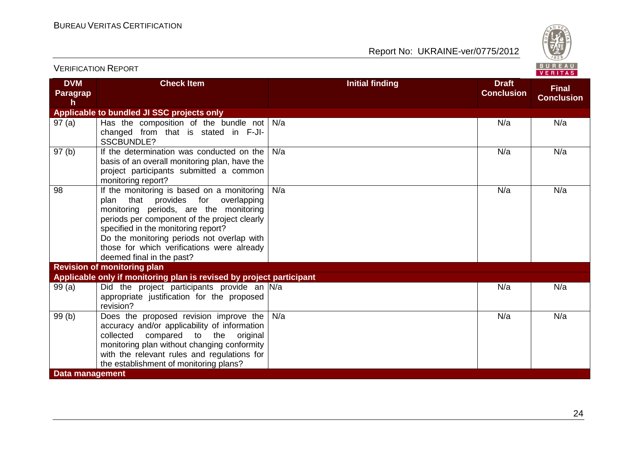

| <b>VERIFICATION REPORT</b>   |                                                                                                                                                                                                                                                                                                                                               |                        |                                   | BUREAU<br><b>VERITAS</b>          |
|------------------------------|-----------------------------------------------------------------------------------------------------------------------------------------------------------------------------------------------------------------------------------------------------------------------------------------------------------------------------------------------|------------------------|-----------------------------------|-----------------------------------|
| <b>DVM</b><br>Paragrap<br>h. | <b>Check Item</b>                                                                                                                                                                                                                                                                                                                             | <b>Initial finding</b> | <b>Draft</b><br><b>Conclusion</b> | <b>Final</b><br><b>Conclusion</b> |
|                              | Applicable to bundled JI SSC projects only                                                                                                                                                                                                                                                                                                    |                        |                                   |                                   |
| 97(a)                        | Has the composition of the bundle not<br>changed from that is stated in F-JI-<br>SSCBUNDLE?                                                                                                                                                                                                                                                   | N/a                    | N/a                               | N/a                               |
| 97(b)                        | If the determination was conducted on the<br>basis of an overall monitoring plan, have the<br>project participants submitted a common<br>monitoring report?                                                                                                                                                                                   | N/a                    | N/a                               | N/a                               |
| 98                           | If the monitoring is based on a monitoring<br>that provides for overlapping<br>plan<br>monitoring periods, are the monitoring<br>periods per component of the project clearly<br>specified in the monitoring report?<br>Do the monitoring periods not overlap with<br>those for which verifications were already<br>deemed final in the past? | N/a                    | N/a                               | N/a                               |
|                              | <b>Revision of monitoring plan</b>                                                                                                                                                                                                                                                                                                            |                        |                                   |                                   |
|                              | Applicable only if monitoring plan is revised by project participant                                                                                                                                                                                                                                                                          |                        |                                   |                                   |
| 99(a)                        | Did the project participants provide an N/a<br>appropriate justification for the proposed<br>revision?                                                                                                                                                                                                                                        |                        | N/a                               | N/a                               |
| 99(b)                        | Does the proposed revision improve the<br>accuracy and/or applicability of information<br>compared to the<br>collected<br>original<br>monitoring plan without changing conformity<br>with the relevant rules and regulations for<br>the establishment of monitoring plans?                                                                    | N/a                    | N/a                               | N/a                               |
| <b>Data management</b>       |                                                                                                                                                                                                                                                                                                                                               |                        |                                   |                                   |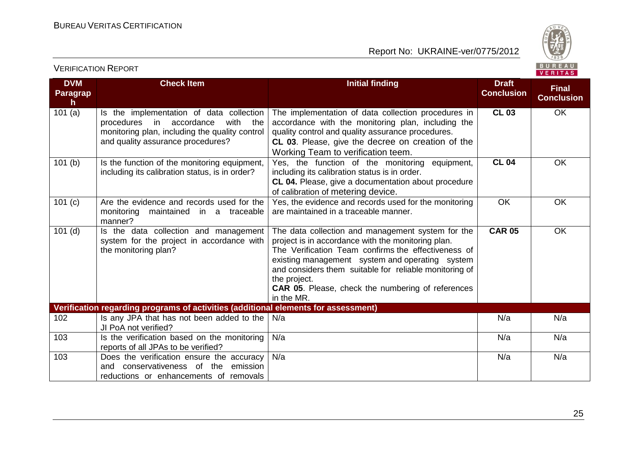

#### **DVM Paragrap h Check Item Initial finding Initial finding Draft Conclusion Final Conclusion** 101 (a)  $\vert$  Is the implementation of data collection procedures in accordance with the monitoring plan, including the quality control and quality assurance procedures? The implementation of data collection procedures in accordance with the monitoring plan, including the quality control and quality assurance procedures. **CL 03**. Please, give the decree on creation of the Working Team to verification teem. **CL 03** OK 101 (b)  $\vert$  Is the function of the monitoring equipment, including its calibration status, is in order? Yes, the function of the monitoring equipment, including its calibration status is in order. **CL 04.** Please, give a documentation about procedure of calibration of metering device. **CL 04** OK 101 (c) Are the evidence and records used for the monitoring maintained in a traceable manner? Yes, the evidence and records used for the monitoring are maintained in a traceable manner. OK OK 101 (d) Is the data collection and management system for the project in accordance with the monitoring plan? The data collection and management system for the project is in accordance with the monitoring plan. The Verification Team confirms the effectiveness of existing management system and operating system and considers them suitable for reliable monitoring of the project. **CAR 05**. Please, check the numbering of references in the MR. **CAR 05** OK **Verification regarding programs of activities (additional elements for assessment)** 102 Is any JPA that has not been added to the  $N/a$ JI PoA not verified? N/a N/a N/a 103 Is the verification based on the monitoring reports of all JPAs to be verified? N/a N/a N/a 103 Does the verification ensure the accuracy and conservativeness of the emission reductions or enhancements of removals N/a N/a N/a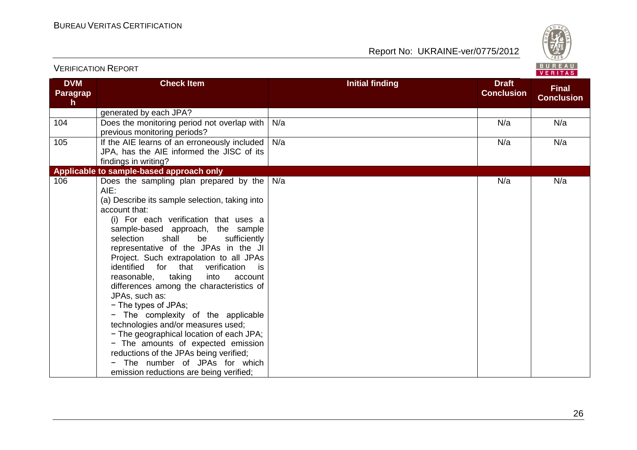

|                             | <b>VERIFICATION REPORT</b>                                                                                                                                                                                                                                                                                                                                                                                                                                                                                                                                                                                                                                                                                                                                                                        |                        |                                   | BUREAU<br><b>VERITAS</b>          |
|-----------------------------|---------------------------------------------------------------------------------------------------------------------------------------------------------------------------------------------------------------------------------------------------------------------------------------------------------------------------------------------------------------------------------------------------------------------------------------------------------------------------------------------------------------------------------------------------------------------------------------------------------------------------------------------------------------------------------------------------------------------------------------------------------------------------------------------------|------------------------|-----------------------------------|-----------------------------------|
| <b>DVM</b><br>Paragrap<br>h | <b>Check Item</b>                                                                                                                                                                                                                                                                                                                                                                                                                                                                                                                                                                                                                                                                                                                                                                                 | <b>Initial finding</b> | <b>Draft</b><br><b>Conclusion</b> | <b>Final</b><br><b>Conclusion</b> |
|                             | generated by each JPA?                                                                                                                                                                                                                                                                                                                                                                                                                                                                                                                                                                                                                                                                                                                                                                            |                        |                                   |                                   |
| 104                         | Does the monitoring period not overlap with<br>previous monitoring periods?                                                                                                                                                                                                                                                                                                                                                                                                                                                                                                                                                                                                                                                                                                                       | N/a                    | N/a                               | N/a                               |
| 105                         | If the AIE learns of an erroneously included<br>JPA, has the AIE informed the JISC of its<br>findings in writing?                                                                                                                                                                                                                                                                                                                                                                                                                                                                                                                                                                                                                                                                                 | N/a                    | N/a                               | N/a                               |
|                             | Applicable to sample-based approach only                                                                                                                                                                                                                                                                                                                                                                                                                                                                                                                                                                                                                                                                                                                                                          |                        |                                   |                                   |
| 106                         | Does the sampling plan prepared by the<br>AIE:<br>(a) Describe its sample selection, taking into<br>account that:<br>(i) For each verification that uses a<br>sample-based approach, the sample<br>shall<br>be<br>selection<br>sufficiently<br>representative of the JPAs in the JI<br>Project. Such extrapolation to all JPAs<br>identified for that<br>verification<br>is is<br>reasonable,<br>taking<br>into<br>account<br>differences among the characteristics of<br>JPAs, such as:<br>- The types of JPAs;<br>The complexity of the applicable<br>technologies and/or measures used;<br>- The geographical location of each JPA;<br>- The amounts of expected emission<br>reductions of the JPAs being verified;<br>The number of JPAs for which<br>emission reductions are being verified; | N/a                    | N/a                               | N/a                               |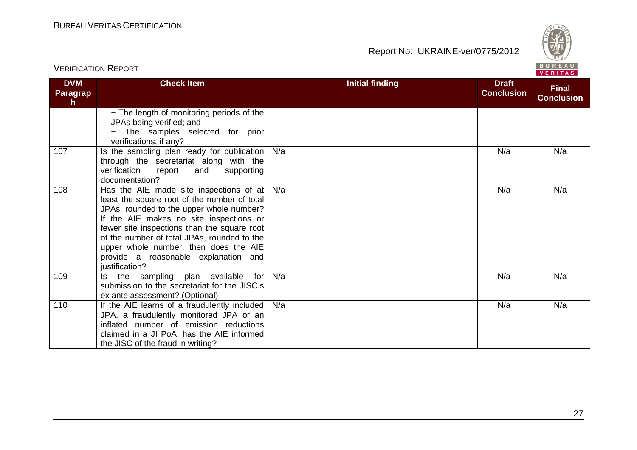

| <b>VERIFICATION REPORT</b>             |                                                                                                                                                                                                                                                                                                                                                                                             | BUREAU<br><b>VERITAS</b> |                                   |                                   |
|----------------------------------------|---------------------------------------------------------------------------------------------------------------------------------------------------------------------------------------------------------------------------------------------------------------------------------------------------------------------------------------------------------------------------------------------|--------------------------|-----------------------------------|-----------------------------------|
| <b>DVM</b><br>Paragrap<br>$\mathsf{h}$ | <b>Check Item</b>                                                                                                                                                                                                                                                                                                                                                                           | <b>Initial finding</b>   | <b>Draft</b><br><b>Conclusion</b> | <b>Final</b><br><b>Conclusion</b> |
|                                        | - The length of monitoring periods of the<br>JPAs being verified; and<br>The samples selected for prior<br>verifications, if any?                                                                                                                                                                                                                                                           |                          |                                   |                                   |
| 107                                    | Is the sampling plan ready for publication<br>through the secretariat along with the<br>verification<br>report<br>and<br>supporting<br>documentation?                                                                                                                                                                                                                                       | N/a                      | N/a                               | N/a                               |
| 108                                    | Has the AIE made site inspections of at $\vert$ N/a<br>least the square root of the number of total<br>JPAs, rounded to the upper whole number?<br>If the AIE makes no site inspections or<br>fewer site inspections than the square root<br>of the number of total JPAs, rounded to the<br>upper whole number, then does the AIE<br>provide a reasonable explanation and<br>justification? |                          | N/a                               | N/a                               |
| 109                                    | Is the sampling plan available<br>for<br>submission to the secretariat for the JISC.s<br>ex ante assessment? (Optional)                                                                                                                                                                                                                                                                     | N/a                      | N/a                               | N/a                               |
| 110                                    | If the AIE learns of a fraudulently included<br>JPA, a fraudulently monitored JPA or an<br>inflated number of emission reductions<br>claimed in a JI PoA, has the AIE informed<br>the JISC of the fraud in writing?                                                                                                                                                                         | N/a                      | N/a                               | N/a                               |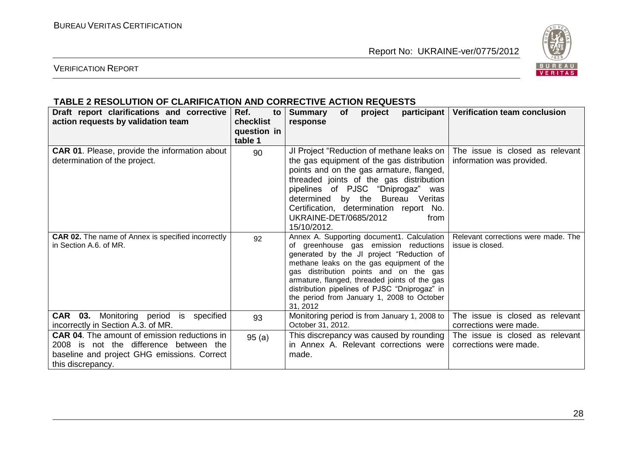

# VERIFICATION REPORT

#### **TABLE 2 RESOLUTION OF CLARIFICATION AND CORRECTIVE ACTION REQUESTS**

| Draft report clarifications and corrective<br>action requests by validation team                                                                                  | Ref.<br>to<br><b>checklist</b><br>question in<br>table 1 | <b>Summary</b><br><b>of</b><br>project<br>response                                                                                                                                                                                                                                                                                                                                    | participant   Verification team conclusion                   |
|-------------------------------------------------------------------------------------------------------------------------------------------------------------------|----------------------------------------------------------|---------------------------------------------------------------------------------------------------------------------------------------------------------------------------------------------------------------------------------------------------------------------------------------------------------------------------------------------------------------------------------------|--------------------------------------------------------------|
| <b>CAR 01.</b> Please, provide the information about<br>determination of the project.                                                                             | 90                                                       | JI Project "Reduction of methane leaks on<br>the gas equipment of the gas distribution<br>points and on the gas armature, flanged,<br>threaded joints of the gas distribution<br>pipelines of PJSC "Dniprogaz" was<br>determined by the Bureau<br>Veritas<br>Certification, determination report No.<br>UKRAINE-DET/0685/2012<br>from<br>15/10/2012.                                  | The issue is closed as relevant<br>information was provided. |
| <b>CAR 02.</b> The name of Annex is specified incorrectly<br>in Section A.6. of MR.                                                                               | 92                                                       | Annex A. Supporting document1. Calculation  <br>of greenhouse gas emission reductions<br>generated by the JI project "Reduction of<br>methane leaks on the gas equipment of the<br>gas distribution points and on the gas<br>armature, flanged, threaded joints of the gas<br>distribution pipelines of PJSC "Dniprogaz" in<br>the period from January 1, 2008 to October<br>31, 2012 | Relevant corrections were made. The<br>issue is closed.      |
| CAR 03. Monitoring period is specified<br>incorrectly in Section A.3. of MR.                                                                                      | 93                                                       | Monitoring period is from January 1, 2008 to<br>October 31, 2012.                                                                                                                                                                                                                                                                                                                     | The issue is closed as relevant<br>corrections were made.    |
| <b>CAR 04.</b> The amount of emission reductions in<br>2008 is not the difference between the<br>baseline and project GHG emissions. Correct<br>this discrepancy. | 95(a)                                                    | This discrepancy was caused by rounding<br>in Annex A. Relevant corrections were<br>made.                                                                                                                                                                                                                                                                                             | The issue is closed as relevant<br>corrections were made.    |